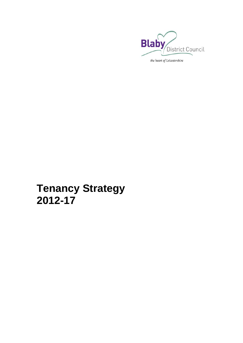

# **Tenancy Strategy 2012[-17](#page-16-0)**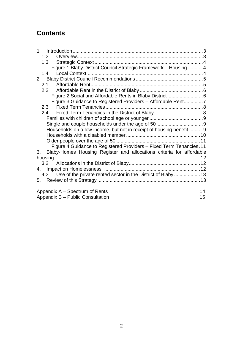# **Contents**

| 1.2 <sub>1</sub>                                                           |    |
|----------------------------------------------------------------------------|----|
| 1.3                                                                        |    |
| Figure 1 Blaby District Council Strategic Framework - Housing  4           |    |
| 1.4                                                                        |    |
| 2.                                                                         |    |
| 2.1                                                                        |    |
| 2.2                                                                        |    |
|                                                                            |    |
| Figure 3 Guidance to Registered Providers - Affordable Rent7               |    |
| 2.3                                                                        |    |
| 2.4                                                                        |    |
|                                                                            |    |
|                                                                            |    |
| Households on a low income, but not in receipt of housing benefit 9        |    |
|                                                                            |    |
|                                                                            |    |
| Figure 4 Guidance to Registered Providers - Fixed Term Tenancies. 11       |    |
| Blaby-Homes Housing Register and allocations criteria for affordable<br>3. |    |
|                                                                            |    |
| 3.2                                                                        |    |
| 4.                                                                         |    |
| Use of the private rented sector in the District of Blaby  13<br>4.2       |    |
| 5.                                                                         |    |
| Appendix A – Spectrum of Rents                                             | 14 |
| Appendix B - Public Consultation                                           | 15 |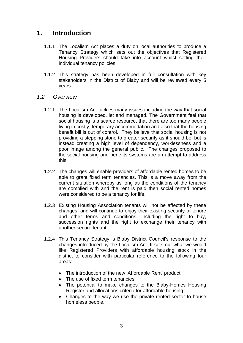# <span id="page-2-0"></span>**1. Introduction**

- 1.1.1 The Localism Act places a duty on local authorities to produce a Tenancy Strategy which sets out the objectives that Registered Housing Providers should take into account whilst setting their individual tenancy policies.
- 1.1.2 This strategy has been developed in full consultation with key stakeholders in the District of Blaby and will be reviewed every 5 years.
- *1.2 Overview* 
	- 1.2.1 The Localism Act tackles many issues including the way that social housing is developed, let and managed. The Government feel that social housing is a scarce resource, that there are too many people living in costly, temporary accommodation and also that the housing benefit bill is out of control. They believe that social housing is not providing a stepping stone to greater security as it should be, but is instead creating a high level of dependency, worklessness and a poor image among the general public. The changes proposed to the social housing and benefits systems are an attempt to address this.
	- 1.2.2 The changes will enable providers of affordable rented homes to be able to grant fixed term tenancies. This is a move away from the current situation whereby as long as the conditions of the tenancy are complied with and the rent is paid then social rented homes were considered to be a tenancy for life.
	- 1.2.3 Existing Housing Association tenants will not be affected by these changes, and will continue to enjoy their existing security of tenure and other terms and conditions, including the right to buy, succession rights and the right to exchange their tenancy with another secure tenant.
	- 1.2.4 This Tenancy Strategy is Blaby District Council's response to the changes introduced by the Localism Act. It sets out what we would like Registered Providers with affordable housing stock in the district to consider with particular reference to the following four areas:
		- The introduction of the new 'Affordable Rent' product
		- The use of fixed term tenancies
		- The potential to make changes to the Blaby-Homes Housing Register and allocations criteria for affordable housing
		- Changes to the way we use the private rented sector to house homeless people.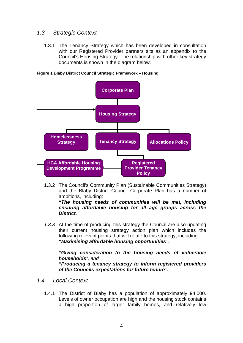# <span id="page-3-0"></span>*1.3 Strategic Context*

1.3.1 The Tenancy Strategy which has been developed in consultation with our Registered Provider partners sits as an appendix to the Council's Housing Strategy. The relationship with other key strategy documents is shown in the diagram below.



**Figure 1 Blaby District Council Strategic Framework – Housing** 

1.3.2 The Council's Community Plan (Sustainable Communities Strategy) and the Blaby District Council Corporate Plan has a number of ambitions, including:

*"The housing needs of communities will be met, including ensuring affordable housing for all age groups across the District."* 

*1.3.3* At the time of producing this strategy the Council are also updating their current housing strategy action plan which includes the following relevant points that will relate to this strategy, including: *"Maximising affordable housing opportunities".* 

*"Giving consideration to the housing needs of vulnerable households", and "Producing a tenancy strategy to inform registered providers of the Councils expectations for future tenure".* 

- *1.4 Local Context* 
	- 1.4.1 The District of Blaby has a population of approximately 94,000. Levels of owner occupation are high and the housing stock contains a high proportion of larger family homes, and relatively low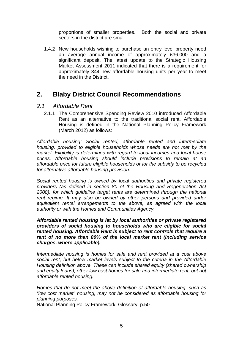proportions of smaller properties. Both the social and private sectors in the district are small.

<span id="page-4-0"></span>1.4.2 New households wishing to purchase an entry level property need an average annual income of approximately £36,000 and a significant deposit. The latest update to the Strategic Housing Market Assessment 2011 indicated that there is a requirement for approximately 344 new affordable housing units per year to meet the need in the District.

# **2. Blaby District Council Recommendations**

## *2.1 Affordable Rent*

2.1.1 The Comprehensive Spending Review 2010 introduced Affordable Rent as an alternative to the traditional social rent. Affordable Housing is defined in the National Planning Policy Framework (March 2012) as follows:

*Affordable housing: Social rented, affordable rented and intermediate housing, provided to eligible households whose needs are not met by the market. Eligibility is determined with regard to local incomes and local house prices. Affordable housing should include provisions to remain at an affordable price for future eligible households or for the subsidy to be recycled for alternative affordable housing provision.* 

*Social rented housing is owned by local authorities and private registered providers (as defined in section 80 of the Housing and Regeneration Act 2008), for which guideline target rents are determined through the national*  rent regime. It may also be owned by other persons and provided under *equivalent rental arrangements to the above, as agreed with the local authority or with the Homes and Communities Agency.* 

*Affordable rented housing is let by local authorities or private registered providers of social housing to households who are eligible for social rented housing. Affordable Rent is subject to rent controls that require a rent of no more than 80% of the local market rent (including service charges, where applicable).* 

*Intermediate housing is homes for sale and rent provided at a cost above social rent, but below market levels subject to the criteria in the Affordable Housing definition above. These can include shared equity (shared ownership and equity loans), other low cost homes for sale and intermediate rent, but not affordable rented housing.* 

*Homes that do not meet the above definition of affordable housing, such as "low cost market" housing, may not be considered as affordable housing for planning purposes.* 

National Planning Policy Framework: Glossary, p.50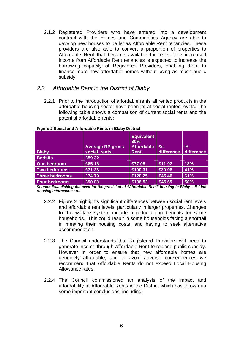<span id="page-5-0"></span>2.1.2 Registered Providers who have entered into a development contract with the Homes and Communities Agency are able to develop new houses to be let as Affordable Rent tenancies. These providers are also able to convert a proportion of properties to Affordable Rent that become available for re-let. The increased income from Affordable Rent tenancies is expected to increase the borrowing capacity of Registered Providers, enabling them to finance more new affordable homes without using as much public subsidy.

# *2.2 Affordable Rent in the District of Blaby*

2.2.1 Prior to the introduction of affordable rents all rented products in the affordable housing sector have been let at social rented levels. The following table shows a comparison of current social rents and the potential affordable rents:

| <b>Blaby</b>          | <b>Average RP gross</b><br>social rents | <b>Equivalent</b><br>80%<br><b>Affordable</b><br><b>Rent</b> | £s<br>difference | %<br>difference |
|-----------------------|-----------------------------------------|--------------------------------------------------------------|------------------|-----------------|
| <b>Bedsits</b>        | £59.32                                  |                                                              |                  |                 |
| One bedroom           | £65.16                                  | £77.08                                                       | £11.92           | 18%             |
| Two bedrooms          | £71.23                                  | £100.31                                                      | £29.08           | 41%             |
| <b>Three bedrooms</b> | £74.79                                  | £120.25                                                      | £45.46           | 61%             |
| <b>Four bedrooms</b>  | £90.83                                  | £136.52                                                      | £45.69           | 50%             |

#### **Figure 2 Social and Affordable Rents in Blaby District**

*Source: Establishing the need for the provision of "Affordable Rent" housing in Blaby – B Line Housing Information Ltd.* 

- 2.2.2 Figure 2 highlights significant differences between social rent levels and affordable rent levels, particularly in larger properties. Changes to the welfare system include a reduction in benefits for some households. This could result in some households facing a shortfall in meeting their housing costs, and having to seek alternative accommodation.
- 2.2.3 The Council understands that Registered Providers will need to generate income through Affordable Rent to replace public subsidy. However in order to ensure that new affordable homes are genuinely affordable, and to avoid adverse consequences we recommend that Affordable Rents do not exceed Local Housing Allowance rates.
- 2.2.4 The Council commissioned an analysis of the impact and affordability of Affordable Rents in the District which has thrown up some important conclusions, including: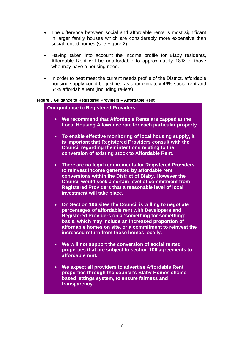- <span id="page-6-0"></span> The difference between social and affordable rents is most significant in larger family houses which are considerably more expensive than social rented homes (see Figure 2).
- Having taken into account the income profile for Blaby residents, Affordable Rent will be unaffordable to approximately 18% of those who may have a housing need.
- In order to best meet the current needs profile of the District, affordable housing supply could be justified as approximately 46% social rent and 54% affordable rent (including re-lets).

#### **Figure 3 Guidance to Registered Providers – Affordable Rent**

**Our guidance to Registered Providers:** 

- **We recommend that Affordable Rents are capped at the Local Housing Allowance rate for each particular property.**
- **To enable effective monitoring of local housing supply, it is important that Registered Providers consult with the Council regarding their intentions relating to the conversion of existing stock to Affordable Rent.**
- **There are no legal requirements for Registered Providers to reinvest income generated by affordable rent conversions within the District of Blaby. However the Council would seek a certain level of commitment from Registered Providers that a reasonable level of local investment will take place.**
- **On Section 106 sites the Council is willing to negotiate percentages of affordable rent with Developers and Registered Providers on a 'something for something' basis, which may include an increased proportion of affordable homes on site, or a commitment to reinvest the increased return from those homes locally.**
- **We will not support the conversion of social rented properties that are subject to section 106 agreements to affordable rent.**
- **- properties through the council's Blaby Homes choice- We expect all providers to advertise Affordable Rent based lettings system, to ensure fairness and transparency.**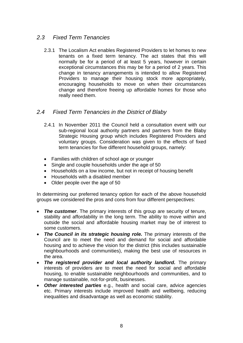# <span id="page-7-0"></span>*2.3 Fixed Term Tenancies*

2.3.1 The Localism Act enables Registered Providers to let homes to new tenants on a fixed term tenancy. The act states that this will normally be for a period of at least 5 years, however in certain exceptional circumstances this may be for a period of 2 years. This change in tenancy arrangements is intended to allow Registered Providers to manage their housing stock more appropriately, encouraging households to move on when their circumstances change and therefore freeing up affordable homes for those who really need them.

# *2.4 Fixed Term Tenancies in the District of Blaby*

- 2.4.1 In November 2011 the Council held a consultation event with our sub-regional local authority partners and partners from the Blaby Strategic Housing group which includes Registered Providers and voluntary groups. Consideration was given to the effects of fixed term tenancies for five different household groups, namely:
- Families with children of school age or younger
- Single and couple households under the age of 50
- Households on a low income, but not in receipt of housing benefit
- Households with a disabled member
- Older people over the age of 50

In determining our preferred tenancy option for each of the above household groups we considered the pros and cons from four different perspectives:

- *The customer*. The primary interests of this group are security of tenure, stability and affordability in the long term. The ability to move within and outside the social and affordable housing market may be of interest to some customers.
- *The Council in its strategic housing role.* The primary interests of the Council are to meet the need and demand for social and affordable housing and to achieve the vision for the district (this includes sustainable neighbourhoods and communities), making the best use of resources in the area.
- *The registered provider and local authority landlord.* The primary interests of providers are to meet the need for social and affordable housing, to enable sustainable neighbourhoods and communities, and to manage sustainable, not-for-profit, businesses.
- *Other interested parties* e.g., health and social care, advice agencies etc. Primary interests include improved health and wellbeing, reducing inequalities and disadvantage as well as economic stability.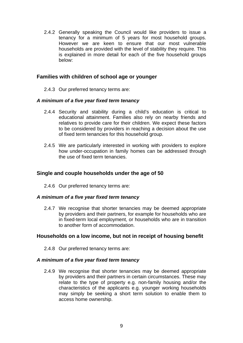<span id="page-8-0"></span>2.4.2 Generally speaking the Council would like providers to issue a tenancy for a minimum of 5 years for most household groups. However we are keen to ensure that our most vulnerable households are provided with the level of stability they require. This is explained in more detail for each of the five household groups below:

## **Families with children of school age or younger**

2.4.3 Our preferred tenancy terms are:

#### *A minimum of a five year fixed term tenancy*

- 2.4.4 Security and stability during a child's education is critical to educational attainment. Families also rely on nearby friends and relatives to provide care for their children. We expect these factors to be considered by providers in reaching a decision about the use of fixed term tenancies for this household group.
- 2.4.5 We are particularly interested in working with providers to explore how under-occupation in family homes can be addressed through the use of fixed term tenancies.

## **Single and couple households under the age of 50**

2.4.6 Our preferred tenancy terms are:

#### *A minimum of a five year fixed term tenancy*

2.4.7 We recognise that shorter tenancies may be deemed appropriate by providers and their partners, for example for households who are in fixed-term local employment, or households who are in transition to another form of accommodation.

#### **Households on a low income, but not in receipt of housing benefit**

2.4.8 Our preferred tenancy terms are:

#### *A minimum of a five year fixed term tenancy*

2.4.9 We recognise that shorter tenancies may be deemed appropriate by providers and their partners in certain circumstances. These may relate to the type of property e.g. non-family housing and/or the characteristics of the applicants e.g. younger working households may simply be seeking a short term solution to enable them to access home ownership.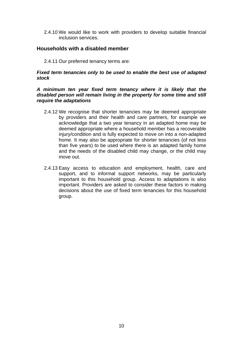<span id="page-9-0"></span>2.4.10 We would like to work with providers to develop suitable financial inclusion services.

## **Households with a disabled member**

2.4.11 Our preferred tenancy terms are:

#### *Fixed term tenancies only to be used to enable the best use of adapted stock*

#### *A minimum ten year fixed term tenancy where it is likely that the disabled person will remain living in the property for some time and still require the adaptations*

- 2.4.12 We recognise that shorter tenancies may be deemed appropriate by providers and their health and care partners, for example we acknowledge that a two year tenancy in an adapted home may be deemed appropriate where a household member has a recoverable injury/condition and is fully expected to move on into a non-adapted home. It may also be appropriate for shorter tenancies (of not less than five years) to be used where there is an adapted family home and the needs of the disabled child may change, or the child may move out.
- 2.4.13 Easy access to education and employment, health, care and support, and to informal support networks, may be particularly important to this household group. Access to adaptations is also important. Providers are asked to consider these factors in making decisions about the use of fixed term tenancies for this household group.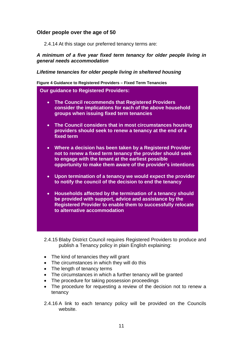## <span id="page-10-0"></span>**Older people over the age of 50**

2.4.14 At this stage our preferred tenancy terms are:

*A minimum of a five year fixed term tenancy for older people living in general needs accommodation* 

*Lifetime tenancies for older people living in sheltered housing* 

**Figure 4 Guidance to Registered Providers – Fixed Term Tenancies** 

**Our guidance to Registered Providers:** 

- **The Council recommends that Registered Providers consider the implications for each of the above household groups when issuing fixed term tenancies**
- **The Council considers that in most circumstances housing providers should seek to renew a tenancy at the end of a fixed term**
- **Where a decision has been taken by a Registered Provider not to renew a fixed term tenancy the provider should seek to engage with the tenant at the earliest possible opportunity to make them aware of the provider's intentions**
- **Upon termination of a tenancy we would expect the provider to notify the council of the decision to end the tenancy**
- **Households affected by the termination of a tenancy should be provided with support, advice and assistance by the Registered Provider to enable them to successfully relocate to alternative accommodation**

2.4.15 Blaby District Council requires Registered Providers to produce and publish a Tenancy policy in plain English explaining:

- The kind of tenancies they will grant
- The circumstances in which they will do this
- The length of tenancy terms
- The circumstances in which a further tenancy will be granted
- The procedure for taking possession proceedings
- The procedure for requesting a review of the decision not to renew a tenancy
- 2.4.16 A link to each tenancy policy will be provided on the Councils website.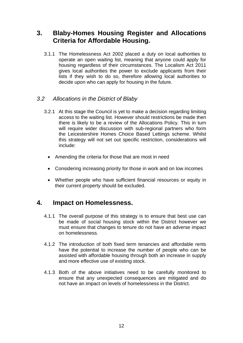# <span id="page-11-0"></span>**3. Blaby-Homes Housing Register and Allocations Criteria for Affordable Housing.**

3.1.1 The Homelessness Act 2002 placed a duty on local authorities to operate an open waiting list, meaning that anyone could apply for housing regardless of their circumstances. The Localism Act 2011 gives local authorities the power to exclude applicants from their lists if they wish to do so, therefore allowing local authorities to decide upon who can apply for housing in the future.

# *3.2 Allocations in the District of Blaby*

- 3.2.1 At this stage the Council is yet to make a decision regarding limiting access to the waiting list. However should restrictions be made then there is likely to be a review of the Allocations Policy. This in turn will require wider discussion with sub-regional partners who form the Leicestershire Homes Choice Based Lettings scheme. Whilst this strategy will not set out specific restriction, considerations will include:
	- Amending the criteria for those that are most in need
	- Considering increasing priority for those in work and on low incomes
	- Whether people who have sufficient financial resources or equity in their current property should be excluded.

# **4. Impact on Homelessness.**

- 4.1.1 The overall purpose of this strategy is to ensure that best use can be made of social housing stock within the District however we must ensure that changes to tenure do not have an adverse impact on homelessness.
- 4.1.2 The introduction of both fixed term tenancies and affordable rents have the potential to increase the number of people who can be assisted with affordable housing through both an increase in supply and more effective use of existing stock.
- 4.1.3 Both of the above initiatives need to be carefully monitored to ensure that any unexpected consequences are mitigated and do not have an impact on levels of homelessness in the District.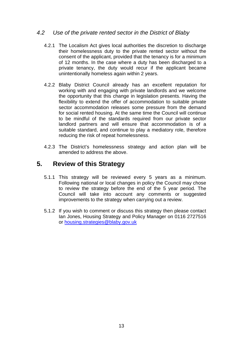# <span id="page-12-0"></span>*4.2 Use of the private rented sector in the District of Blaby*

- 4.2.1 The Localism Act gives local authorities the discretion to discharge their homelessness duty to the private rented sector without the consent of the applicant, provided that the tenancy is for a minimum of 12 months. In the case where a duty has been discharged to a private tenancy, the duty would recur if the applicant became unintentionally homeless again within 2 years.
- 4.2.2 Blaby District Council already has an excellent reputation for working with and engaging with private landlords and we welcome the opportunity that this change in legislation presents. Having the flexibility to extend the offer of accommodation to suitable private sector accommodation releases some pressure from the demand for social rented housing. At the same time the Council will continue to be mindful of the standards required from our private sector landlord partners and will ensure that accommodation is of a suitable standard, and continue to play a mediatory role, therefore reducing the risk of repeat homelessness.
- 4.2.3 The District's homelessness strategy and action plan will be amended to address the above.

# **5. Review of this Strategy**

- 5.1.1 This strategy will be reviewed every 5 years as a minimum. Following national or local changes in policy the Council may chose to review the strategy before the end of the 5 year period. The Council will take into account any comments or suggested improvements to the strategy when carrying out a review.
- 5.1.2 If you wish to comment or discuss this strategy then please contact Ian Jones, Housing Strategy and Policy Manager on 0116 2727516 or housing.strategies@blaby.gov.uk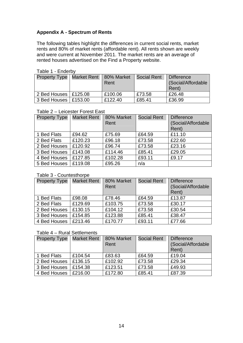## **Appendix A - Spectrum of Rents**

The following tables highlight the differences in current social rents, market rents and 80% of market rents (affordable rent). All rents shown are weekly and were current at November 2011. The market rents are an average of rented houses advertised on the Find a Property website.

| iavic i - Lilucivv                       |  |         |                    |                                                  |
|------------------------------------------|--|---------|--------------------|--------------------------------------------------|
| Property Type   Market Rent   80% Market |  | Rent    | <b>Social Rent</b> | <b>Difference</b><br>(Social/Affordable<br>Rent) |
| 2 Bed Houses   £125.08                   |  | £100.06 | £73.58             | £26.48                                           |
| 3 Bed Houses   £153.00                   |  | £122.40 | £85.41             | £36.99                                           |

## Table 1 - Enderby

#### Table 2 – Leicester Forest East

| <b>Property Type   Market Rent</b> |         | 80% Market | <b>Social Rent</b> | <b>Difference</b>  |
|------------------------------------|---------|------------|--------------------|--------------------|
|                                    |         | Rent       |                    | (Social/Affordable |
|                                    |         |            |                    | Rent)              |
| 1 Bed Flats                        | £94.62  | £75.69     | £64.59             | £11.10             |
| 2 Bed Flats                        | £120.23 | £96.18     | £73.58             | £22.60             |
| 2 Bed Houses                       | £120.92 | £96.74     | £73.58             | £23.16             |
| 3 Bed Houses                       | £143.08 | £114.46    | £85.41             | £29.05             |
| 4 Bed Houses                       | £127.85 | £102.28    | £93.11             | £9.17              |
| 5 Bed Houses                       | £119.08 | £95.26     | n/a                |                    |

#### Table 3 - Countesthorpe

| Property Type | <b>Market Rent</b> | 80% Market<br>Rent | <b>Social Rent</b> | <b>Difference</b><br>(Social/Affordable<br>Rent) |
|---------------|--------------------|--------------------|--------------------|--------------------------------------------------|
| 1 Bed Flats   | £98.08             | £78.46             | £64.59             | £13.87                                           |
| 2 Bed Flats   | £129.69            | £103.75            | £73.58             | £30.17                                           |
| 2 Bed Houses  | £130.15            | £104.12            | £73.58             | £30.54                                           |
| 3 Bed Houses  | £154.85            | £123.88            | £85.41             | £38.47                                           |
| 4 Bed Houses  | £213.46            | £170.77            | £93.11             | £77.66                                           |

#### Table 4 – Rural Settlements

| <b>Property Type   Market Rent</b> |         | 80% Market | <b>Social Rent</b> | <b>Difference</b>  |
|------------------------------------|---------|------------|--------------------|--------------------|
|                                    |         | Rent       |                    | (Social/Affordable |
|                                    |         |            |                    | Rent)              |
| 1 Bed Flats                        | £104.54 | £83.63     | £64.59             | £19.04             |
| 2 Bed Houses                       | £136.15 | £102.92    | £73.58             | £29.34             |
| 3 Bed Houses                       | £154.38 | £123.51    | £73.58             | £49.93             |
| 4 Bed Houses                       | E216.00 | £172.80    | £85.41             | £87.39             |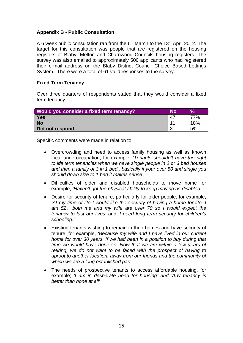## <span id="page-14-0"></span>**Appendix B - Public Consultation**

A 6 week public consultation ran from the  $6<sup>th</sup>$  March to the 13<sup>th</sup> April 2012. The target for this consultation was people that are registered on the housing registers of Blaby, Melton and Charnwood Councils housing registers. The survey was also emailed to approximately 500 applicants who had registered their e-mail address on the Blaby District Council Choice Based Lettings System. There were a total of 61 valid responses to the survey.

#### **Fixed Term Tenancy**

Over three quarters of respondents stated that they would consider a fixed term tenancy.

| Would you consider a fixed term tenancy? | Nο  | <b>Vo</b> |
|------------------------------------------|-----|-----------|
| Yes                                      | 47  | 77%       |
| <b>No</b>                                | -11 | 18%       |
| Did not respond                          | ີ   | 5%        |

Specific comments were made in relation to;

- *should down size to 1 bed it makes sense'*  Overcrowding and need to access family housing as well as known local underoccupation, for example; *'Tenants shouldn't have the right to life term tenancies when we have single people in 2 or 3 bed houses and then a family of 3 in 1 bed.. basically if your over 50 and single you*
- Difficulties of older and disabled households to move home for example, *'Haven't got the physical ability to keep moving as disabled.*
- Desire for security of tenure, particularly for older people, for example, *'At my time of life I would like the security of having a home for life. I am 52', 'both me and my wife are over 70 so I would expect the tenancy to last our lives'* and *'I need long term security for children's schooling.'*
- Existing tenants wishing to remain in their homes and have security of tenure, for example, *'Because my wife and I have lived in our current home for over 30 years. If we had been in a position to buy during that time we would have done so. Now that we are within a few years of retiring, we do not want to be faced with the prospect of having to uproot to another location, away from our friends and the community of which we are a long established part.'*
- The needs of prospective tenants to access affordable housing, for example; *'I am in desperate need for housing' and 'Any tenancy is better than none at all'*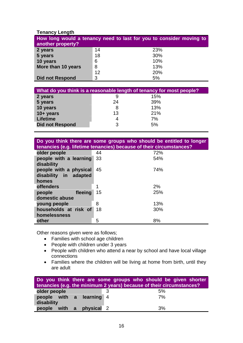# **Tenancy Length**

| another property?      | How long would a tenancy need to last for you to consider moving to |     |
|------------------------|---------------------------------------------------------------------|-----|
| 2 years                | 14                                                                  | 23% |
| 5 years                | 18                                                                  | 30% |
| 10 years               | 6                                                                   | 10% |
| More than 10 years     | 8                                                                   | 13% |
|                        | 12                                                                  | 20% |
| <b>Did not Respond</b> | 3                                                                   | 5%  |

| What do you think is a reasonable length of tenancy for most people? |    |     |  |
|----------------------------------------------------------------------|----|-----|--|
| 2 years                                                              |    | 15% |  |
| 5 years                                                              | 24 | 39% |  |
| 10 years                                                             |    | 13% |  |
| $10 + years$                                                         | 13 | 21% |  |
| <b>Lifetime</b>                                                      |    | 7%  |  |
| <b>Did not Respond</b>                                               |    | 5%  |  |
|                                                                      |    |     |  |

| Do you think there are some groups who should be entitled to longer |
|---------------------------------------------------------------------|
| tenancies (e.g. lifetime tenancies) because of their circumstances? |

| older people                                                | 44 | 72% |
|-------------------------------------------------------------|----|-----|
| people with a learning<br>disability                        | 33 | 54% |
| people with a physical<br>disability in<br>adapted<br>homes | 45 | 74% |
| <b>offenders</b>                                            |    | 2%  |
| fleeing<br>people<br>domestic abuse                         | 15 | 25% |
| young people                                                | 8  | 13% |
| households at risk of<br>homelessness                       | 18 | 30% |
| other                                                       | 5  | 8%  |

Other reasons given were as follows;

- Families with school age children
- People with children under 3 years
- People with children who attend a near by school and have local village connections
- Families where the children will be living at home from birth, until they are adult

| Do you think there are some groups who should be given shorter<br>tenancies (e.g. the minimum 2 years) because of their circumstances? |   |    |  |
|----------------------------------------------------------------------------------------------------------------------------------------|---|----|--|
| older people                                                                                                                           | 2 | 5% |  |
| people with a learning 4<br>disability                                                                                                 |   | 7% |  |
| physical 2<br>people with a                                                                                                            |   | 3% |  |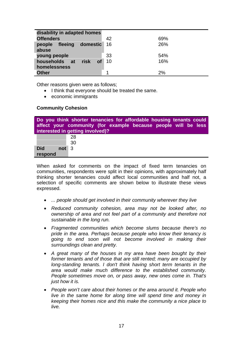<span id="page-16-0"></span>

| disability in adapted homes                          |    |     |  |  |
|------------------------------------------------------|----|-----|--|--|
| <b>Offenders</b>                                     | 42 | 69% |  |  |
| fleeing<br>domestic<br>people<br>abuse               | 16 | 26% |  |  |
| young people                                         | 33 | 54% |  |  |
| households at<br>risk<br>of <b>o</b><br>homelessness | 10 | 16% |  |  |
| <b>Other</b>                                         |    | 2%  |  |  |

Other reasons given were as follows;

- I think that everyone should be treated the same.
- economic immigrants

#### **Community Cohesion**

|                   | Do you think shorter tenancies for affordable housing tenants could<br>affect your community (for example because people will be less<br>interested in getting involved)? |
|-------------------|---------------------------------------------------------------------------------------------------------------------------------------------------------------------------|
|                   | 28                                                                                                                                                                        |
|                   | 30                                                                                                                                                                        |
| <b>Did</b><br>not | -3                                                                                                                                                                        |
| respond           |                                                                                                                                                                           |

When asked for comments on the impact of fixed term tenancies on communities, respondents were split in their opinions, with approximately half thinking shorter tenancies could affect local communities and half not, a selection of specific comments are shown below to illustrate these views expressed.

- *... people should get involved in their community wherever they live*
- *Reduced community cohesion, area may not be looked after, no ownership of area and not feel part of a community and therefore not sustainable in the long run.*
- *Fragmented communities which become slums because there's no pride in the area. Perhaps because people who know their tenancy is going to end soon will not become involved in making their surroundings clean and pretty.*
- *A great many of the houses in my area have been bought by their former tenants and of those that are still rented; many are occupied by long-standing tenants. I don't think having short term tenants in the area would make much difference to the established community. People sometimes move on, or pass away, new ones come in. That's just how it is.*
- *People won't care about their homes or the area around it. People who live in the same home for along time will spend time and money in keeping their homes nice and this make the community a nice place to live.*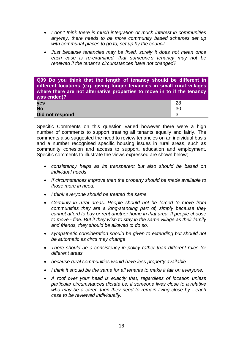- *I don't think there is much integration or much interest in communities anyway, there needs to be more community based schemes set up with communal places to go to, set up by the council.*
- *Just because tenancies may be fixed, surely it does not mean once each case is re-examined, that someone's tenancy may not be renewed if the tenant's circumstances have not changed?*

**Q09 Do you think that the length of tenancy should be different in different locations (e.g. giving longer tenancies in small rural villages where there are not alternative properties to move in to if the tenancy was ended)?**  28 **No** 30 **Did not respond 33 yes** 

Specific Comments on this question varied however there were a high number of comments to support treating all tenants equally and fairly. The comments also suggested the need to review tenancies on an individual basis and a number recognised specific housing issues in rural areas, such as community cohesion and access to support, education and employment. Specific comments to illustrate the views expressed are shown below;

- *consistency helps as its transparent but also should be based on individual needs*
- *If circumstances improve then the property should be made available to those more in need.*
- *I think everyone should be treated the same.*
- *Certainly in rural areas. People should not be forced to move from communities they are a long-standing part of, simply because they cannot afford to buy or rent another home in that area. If people choose to move - fine. But if they wish to stay in the same village as their family and friends, they should be allowed to do so.*
- *sympathetic consideration should be given to extending but should not be automatic as circs may change*
- *There should be a consistency in policy rather than different rules for different areas*
- *because rural communities would have less property available*
- *I think it should be the same for all tenants to make it fair on everyone.*
- *A roof over your head is exactly that, regardless of location unless particular circumstances dictate i.e. if someone lives close to a relative who may be a carer, then they need to remain living close by - each case to be reviewed individually.*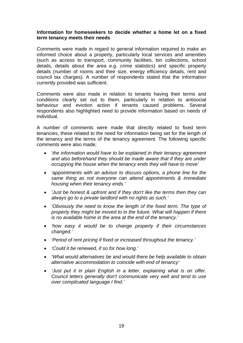#### **Information for homeseekers to decide whether a home let on a fixed term tenancy meets their needs**

Comments were made in regard to general information required to make an informed choice about a property, particularly local services and amenities (such as access to transport, community facilities, bin collections, school details, details about the area e.g. crime statistics) and specific property details (number of rooms and their size, energy efficiency details, rent and council tax charges). A number of respondents stated that the information currently provided was sufficient.

Comments were also made in relation to tenants having their terms and conditions clearly set out to them, particularly in relation to antisocial behaviour and eviction action if tenants caused problems. Several respondents also highlighted need to provide information based on needs of individual.

A number of comments were made that directly related to fixed term tenancies, these related to the need for information being set for the length of the tenancy and the terms of the tenancy agreement. The following specific comments were also made;

- '*the information would have to be explained in their tenancy agreement and also beforehand they should be made aware that if they are under occupying the house when the tenancy ends they will have to move'*
- *'appointments with an advisor to discuss options, a phone line for the same thing as not everyone can attend appointments & immediate housing when their tenancy ends.'*
- *'Just be honest & upfront and if they don't like the terms then they can always go to a private landlord with no rights as such.'*
- *'Obviously the need to know the length of the fixed term. The type of property they might be moved to in the future. What will happen if there is no available home in the area at the end of the tenancy.'*
- *'how easy it would be to change property if their circumstances changed.'*
- *'Period of rent pricing if fixed or increased throughout the tenancy.'*
- *'Could it be renewed, if so for how long.'*
- *'What would alternatives be and would there be help available to obtain alternative accommodation to coincide with end of tenancy'*
- *'Just put it in plain English in a letter, explaining what is on offer. Council letters generally don't communicate very well and tend to use over complicated language I find.'*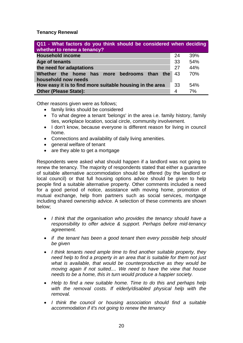**Tenancy Renewal** 

| Q11 - What factors do you think should be considered when deciding<br>whether to renew a tenancy? |    |     |
|---------------------------------------------------------------------------------------------------|----|-----|
| <b>Household income</b>                                                                           | 24 | 39% |
| Age of tenants                                                                                    | 33 | 54% |
| the need for adaptations                                                                          | 27 | 44% |
| Whether the home has more bedrooms than the                                                       | 43 | 70% |
| household now needs                                                                               |    |     |
| How easy it is to find more suitable housing in the area                                          | 33 | 54% |
| <b>Other (Please State):</b>                                                                      | 4  | 7%  |

Other reasons given were as follows;

- family links should be considered
- To what degree a tenant 'belongs' in the area i.e. family history, family ties, workplace location, social circle, community involvement.
- I don't know, because everyone is different reason for living in council home.
- Connections and availability of daily living amenities.
- general welfare of tenant
- are they able to get a mortgage

Respondents were asked what should happen if a landlord was not going to renew the tenancy. The majority of respondents stated that either a guarantee of suitable alternative accommodation should be offered (by the landlord or local council) or that full housing options advice should be given to help people find a suitable alternative property. Other comments included a need for a good period of notice, assistance with moving home, promotion of mutual exchange, help from partners such as social services, mortgage including shared ownership advice. A selection of these comments are shown below;

- *I think that the organisation who provides the tenancy should have a responsibility to offer advice & support. Perhaps before mid-tenancy agreement.*
- *if the tenant has been a good tenant then every possible help should be given*
- *I think tenants need ample time to find another suitable property, they need help to find a property in an area that is suitable for them not just what is available, that would be counterproductive as they would be moving again if not suited.... We need to have the view that house needs to be a home, this in turn would produce a happier society.*
- *Help to find a new suitable home. Time to do this and perhaps help with the removal costs. If elderly/disabled physical help with the removal.*
- *I think the council or housing association should find a suitable accommodation if it's not going to renew the tenancy*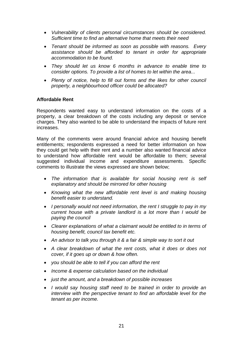- *Vulnerability of clients personal circumstances should be considered. Sufficient time to find an alternative home that meets their need*
- *Tenant should be informed as soon as possible with reasons. Every assistance should be afforded to tenant in order for appropriate accommodation to be found.*
- *They should let us know 6 months in advance to enable time to consider options. To provide a list of homes to let within the area...*
- *Plenty of notice, help to fill out forms and the likes for other council property, a neighbourhood officer could be allocated?*

#### **Affordable Rent**

Respondents wanted easy to understand information on the costs of a property, a clear breakdown of the costs including any deposit or service charges. They also wanted to be able to understand the impacts of future rent increases.

Many of the comments were around financial advice and housing benefit entitlements; respondents expressed a need for better information on how they could get help with their rent and a number also wanted financial advice to understand how affordable rent would be affordable to them; several suggested individual income and expenditure assessments. Specific comments to illustrate the views expressed are shown below;

- *The information that is available for social housing rent is self explanatory and should be mirrored for other housing*
- *Knowing what the new affordable rent level is and making housing benefit easier to understand.*
- *I personally would not need information, the rent I struggle to pay in my current house with a private landlord is a lot more than I would be paying the council*
- *Clearer explanations of what a claimant would be entitled to in terms of housing benefit, council tax benefit etc.*
- *An advisor to talk you through it & a fair & simple way to sort it out*
- *A clear breakdown of what the rent costs, what it does or does not cover, if it goes up or down & how often.*
- *you should be able to tell if you can afford the rent*
- *Income & expense calculation based on the individual*
- *just the amount, and a breakdown of possible increases*
- *I would say housing staff need to be trained in order to provide an interview with the perspective tenant to find an affordable level for the tenant as per income.*